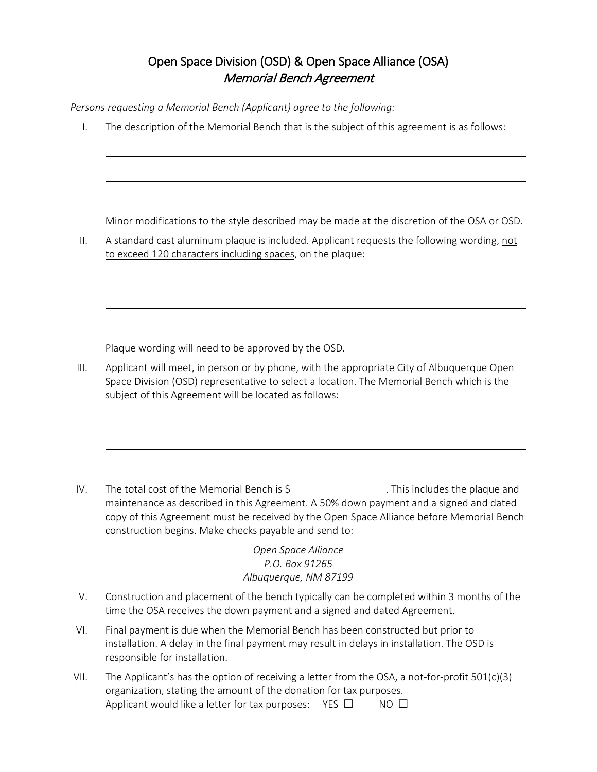## Open Space Division (OSD) & Open Space Alliance (OSA) Memorial Bench Agreement

*Persons requesting a Memorial Bench (Applicant) agree to the following:*

I. The description of the Memorial Bench that is the subject of this agreement is as follows:

Minor modifications to the style described may be made at the discretion of the OSA or OSD.

II. A standard cast aluminum plaque is included. Applicant requests the following wording, not to exceed 120 characters including spaces, on the plaque:

Plaque wording will need to be approved by the OSD.

III. Applicant will meet, in person or by phone, with the appropriate City of Albuquerque Open Space Division (OSD) representative to select a location. The Memorial Bench which is the subject of this Agreement will be located as follows:

IV. The total cost of the Memorial Bench is \$ . This includes the plaque and maintenance as described in this Agreement. A 50% down payment and a signed and dated copy of this Agreement must be received by the Open Space Alliance before Memorial Bench construction begins. Make checks payable and send to:

> *Open Space Alliance P.O. Box 91265 Albuquerque, NM 87199*

- V. Construction and placement of the bench typically can be completed within 3 months of the time the OSA receives the down payment and a signed and dated Agreement.
- VI. Final payment is due when the Memorial Bench has been constructed but prior to installation. A delay in the final payment may result in delays in installation. The OSD is responsible for installation.
- VII. The Applicant's has the option of receiving a letter from the OSA, a not-for-profit  $501(c)(3)$ organization, stating the amount of the donation for tax purposes. Applicant would like a letter for tax purposes: YES  $\Box$  NO  $\Box$